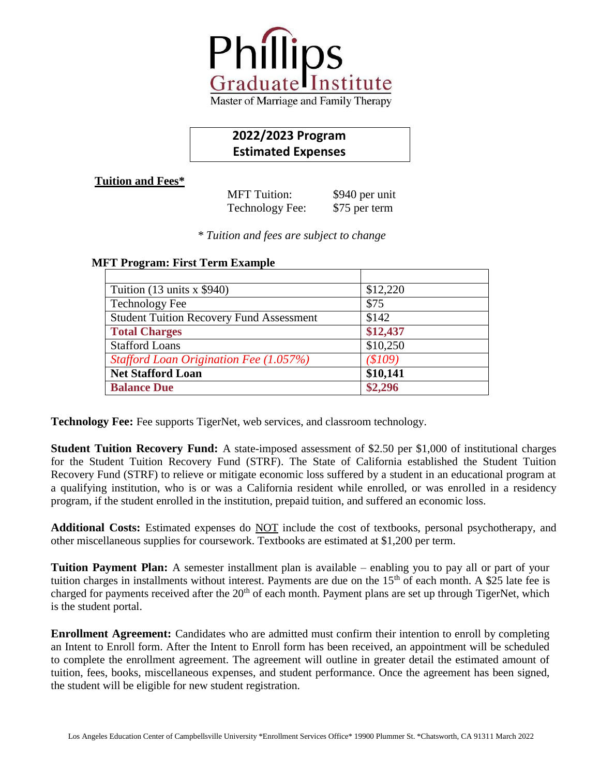

## **2022/2023 Program Estimated Expenses**

**Tuition and Fees\***

MFT Tuition: \$940 per unit Technology Fee: \$75 per term

*\* Tuition and fees are subject to change*

| Tuition $(13 \text{ units} \times $940)$        | \$12,220 |
|-------------------------------------------------|----------|
| <b>Technology Fee</b>                           | \$75     |
| <b>Student Tuition Recovery Fund Assessment</b> | \$142    |
| <b>Total Charges</b>                            | \$12,437 |
| <b>Stafford Loans</b>                           | \$10,250 |
| Stafford Loan Origination Fee (1.057%)          | (\$109)  |
| <b>Net Stafford Loan</b>                        | \$10,141 |
| <b>Balance Due</b>                              | \$2,296  |

### **MFT Program: First Term Example**

**Technology Fee:** Fee supports TigerNet, web services, and classroom technology.

**Student Tuition Recovery Fund:** A state-imposed assessment of \$2.50 per \$1,000 of institutional charges for the Student Tuition Recovery Fund (STRF). The State of California established the Student Tuition Recovery Fund (STRF) to relieve or mitigate economic loss suffered by a student in an educational program at a qualifying institution, who is or was a California resident while enrolled, or was enrolled in a residency program, if the student enrolled in the institution, prepaid tuition, and suffered an economic loss.

**Additional Costs:** Estimated expenses do NOT include the cost of textbooks, personal psychotherapy, and other miscellaneous supplies for coursework. Textbooks are estimated at \$1,200 per term.

**Tuition Payment Plan:** A semester installment plan is available – enabling you to pay all or part of your tuition charges in installments without interest. Payments are due on the  $15<sup>th</sup>$  of each month. A \$25 late fee is charged for payments received after the  $20<sup>th</sup>$  of each month. Payment plans are set up through TigerNet, which is the student portal.

**Enrollment Agreement:** Candidates who are admitted must confirm their intention to enroll by completing an Intent to Enroll form. After the Intent to Enroll form has been received, an appointment will be scheduled to complete the enrollment agreement. The agreement will outline in greater detail the estimated amount of tuition, fees, books, miscellaneous expenses, and student performance. Once the agreement has been signed, the student will be eligible for new student registration.